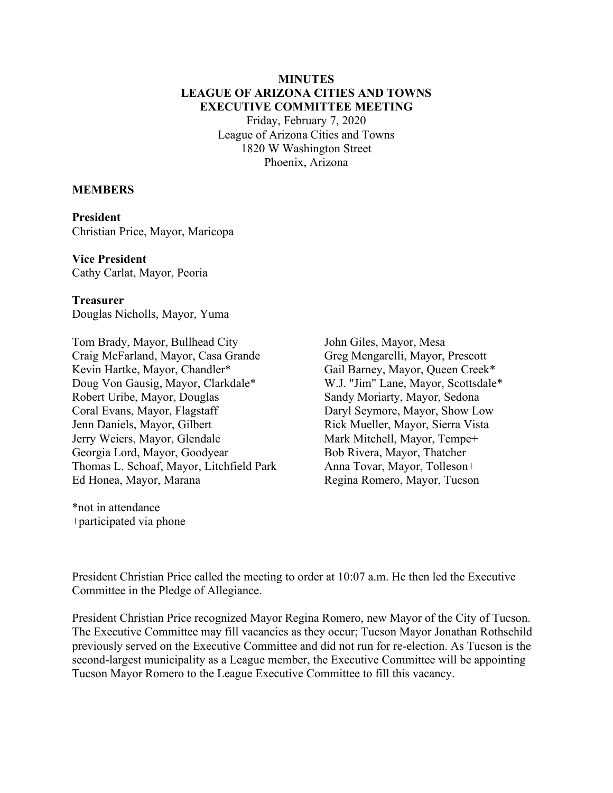### **MINUTES LEAGUE OF ARIZONA CITIES AND TOWNS EXECUTIVE COMMITTEE MEETING**

Friday, February 7, 2020 League of Arizona Cities and Towns 1820 W Washington Street Phoenix, Arizona

#### **MEMBERS**

**President**  Christian Price, Mayor, Maricopa

**Vice President**  Cathy Carlat, Mayor, Peoria

**Treasurer**  Douglas Nicholls, Mayor, Yuma

Tom Brady, Mayor, Bullhead City Craig McFarland, Mayor, Casa Grande Kevin Hartke, Mayor, Chandler\* Doug Von Gausig, Mayor, Clarkdale\* Robert Uribe, Mayor, Douglas Coral Evans, Mayor, Flagstaff Jenn Daniels, Mayor, Gilbert Jerry Weiers, Mayor, Glendale Georgia Lord, Mayor, Goodyear Thomas L. Schoaf, Mayor, Litchfield Park Ed Honea, Mayor, Marana

\*not in attendance +participated via phone

John Giles, Mayor, Mesa Greg Mengarelli, Mayor, Prescott Gail Barney, Mayor, Queen Creek\* W.J. "Jim" Lane, Mayor, Scottsdale\* Sandy Moriarty, Mayor, Sedona Daryl Seymore, Mayor, Show Low Rick Mueller, Mayor, Sierra Vista Mark Mitchell, Mayor, Tempe+ Bob Rivera, Mayor, Thatcher Anna Tovar, Mayor, Tolleson+ Regina Romero, Mayor, Tucson

President Christian Price called the meeting to order at 10:07 a.m. He then led the Executive Committee in the Pledge of Allegiance.

President Christian Price recognized Mayor Regina Romero, new Mayor of the City of Tucson. The Executive Committee may fill vacancies as they occur; Tucson Mayor Jonathan Rothschild previously served on the Executive Committee and did not run for re-election. As Tucson is the second-largest municipality as a League member, the Executive Committee will be appointing Tucson Mayor Romero to the League Executive Committee to fill this vacancy.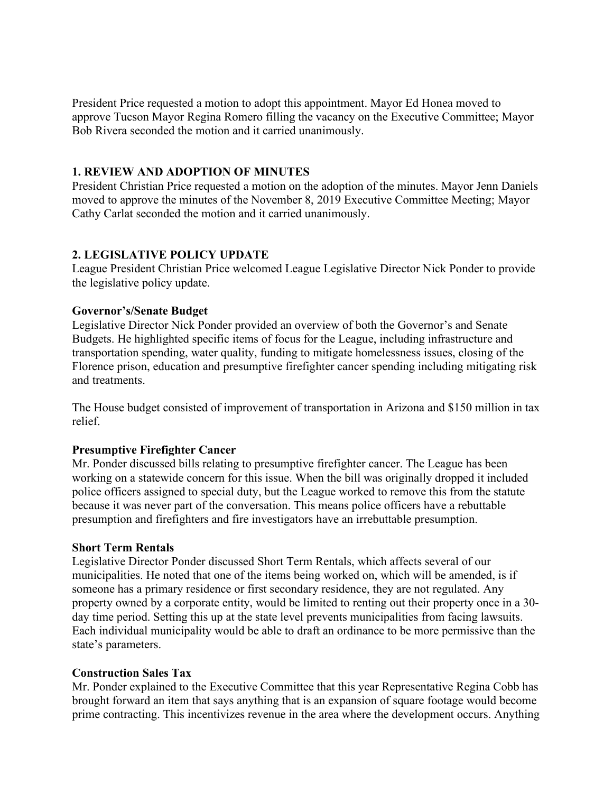President Price requested a motion to adopt this appointment. Mayor Ed Honea moved to approve Tucson Mayor Regina Romero filling the vacancy on the Executive Committee; Mayor Bob Rivera seconded the motion and it carried unanimously.

## **1. REVIEW AND ADOPTION OF MINUTES**

President Christian Price requested a motion on the adoption of the minutes. Mayor Jenn Daniels moved to approve the minutes of the November 8, 2019 Executive Committee Meeting; Mayor Cathy Carlat seconded the motion and it carried unanimously.

## **2. LEGISLATIVE POLICY UPDATE**

League President Christian Price welcomed League Legislative Director Nick Ponder to provide the legislative policy update.

## **Governor's/Senate Budget**

Legislative Director Nick Ponder provided an overview of both the Governor's and Senate Budgets. He highlighted specific items of focus for the League, including infrastructure and transportation spending, water quality, funding to mitigate homelessness issues, closing of the Florence prison, education and presumptive firefighter cancer spending including mitigating risk and treatments.

The House budget consisted of improvement of transportation in Arizona and \$150 million in tax relief.

### **Presumptive Firefighter Cancer**

Mr. Ponder discussed bills relating to presumptive firefighter cancer. The League has been working on a statewide concern for this issue. When the bill was originally dropped it included police officers assigned to special duty, but the League worked to remove this from the statute because it was never part of the conversation. This means police officers have a rebuttable presumption and firefighters and fire investigators have an irrebuttable presumption.

### **Short Term Rentals**

Legislative Director Ponder discussed Short Term Rentals, which affects several of our municipalities. He noted that one of the items being worked on, which will be amended, is if someone has a primary residence or first secondary residence, they are not regulated. Any property owned by a corporate entity, would be limited to renting out their property once in a 30 day time period. Setting this up at the state level prevents municipalities from facing lawsuits. Each individual municipality would be able to draft an ordinance to be more permissive than the state's parameters.

### **Construction Sales Tax**

Mr. Ponder explained to the Executive Committee that this year Representative Regina Cobb has brought forward an item that says anything that is an expansion of square footage would become prime contracting. This incentivizes revenue in the area where the development occurs. Anything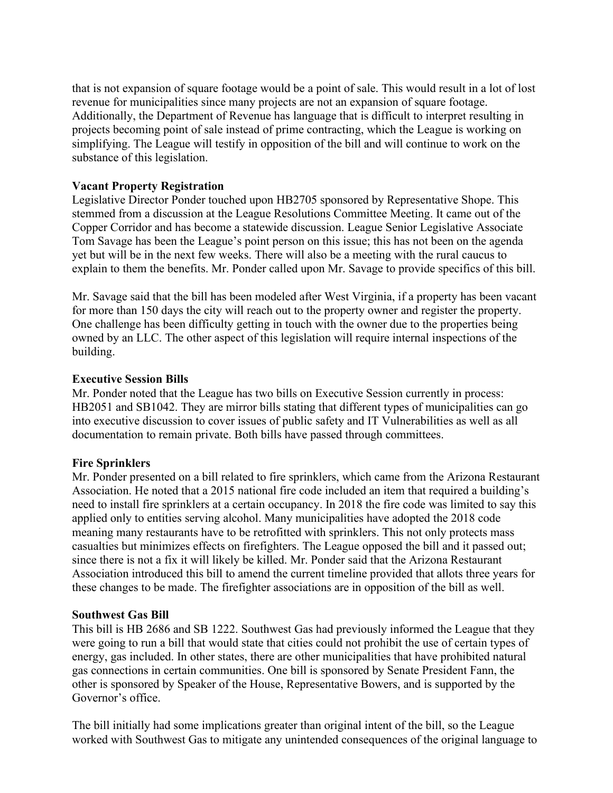that is not expansion of square footage would be a point of sale. This would result in a lot of lost revenue for municipalities since many projects are not an expansion of square footage. Additionally, the Department of Revenue has language that is difficult to interpret resulting in projects becoming point of sale instead of prime contracting, which the League is working on simplifying. The League will testify in opposition of the bill and will continue to work on the substance of this legislation.

### **Vacant Property Registration**

Legislative Director Ponder touched upon HB2705 sponsored by Representative Shope. This stemmed from a discussion at the League Resolutions Committee Meeting. It came out of the Copper Corridor and has become a statewide discussion. League Senior Legislative Associate Tom Savage has been the League's point person on this issue; this has not been on the agenda yet but will be in the next few weeks. There will also be a meeting with the rural caucus to explain to them the benefits. Mr. Ponder called upon Mr. Savage to provide specifics of this bill.

Mr. Savage said that the bill has been modeled after West Virginia, if a property has been vacant for more than 150 days the city will reach out to the property owner and register the property. One challenge has been difficulty getting in touch with the owner due to the properties being owned by an LLC. The other aspect of this legislation will require internal inspections of the building.

### **Executive Session Bills**

Mr. Ponder noted that the League has two bills on Executive Session currently in process: HB2051 and SB1042. They are mirror bills stating that different types of municipalities can go into executive discussion to cover issues of public safety and IT Vulnerabilities as well as all documentation to remain private. Both bills have passed through committees.

### **Fire Sprinklers**

Mr. Ponder presented on a bill related to fire sprinklers, which came from the Arizona Restaurant Association. He noted that a 2015 national fire code included an item that required a building's need to install fire sprinklers at a certain occupancy. In 2018 the fire code was limited to say this applied only to entities serving alcohol. Many municipalities have adopted the 2018 code meaning many restaurants have to be retrofitted with sprinklers. This not only protects mass casualties but minimizes effects on firefighters. The League opposed the bill and it passed out; since there is not a fix it will likely be killed. Mr. Ponder said that the Arizona Restaurant Association introduced this bill to amend the current timeline provided that allots three years for these changes to be made. The firefighter associations are in opposition of the bill as well.

### **Southwest Gas Bill**

This bill is HB 2686 and SB 1222. Southwest Gas had previously informed the League that they were going to run a bill that would state that cities could not prohibit the use of certain types of energy, gas included. In other states, there are other municipalities that have prohibited natural gas connections in certain communities. One bill is sponsored by Senate President Fann, the other is sponsored by Speaker of the House, Representative Bowers, and is supported by the Governor's office.

The bill initially had some implications greater than original intent of the bill, so the League worked with Southwest Gas to mitigate any unintended consequences of the original language to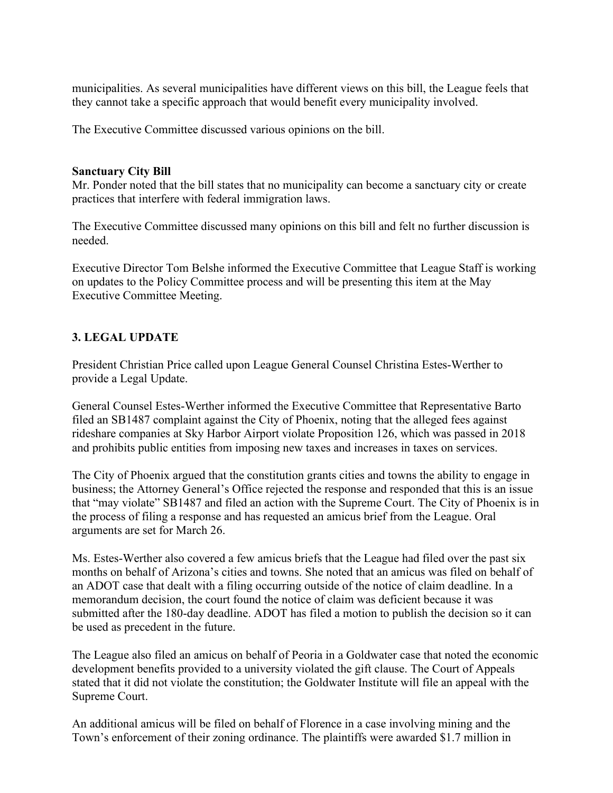municipalities. As several municipalities have different views on this bill, the League feels that they cannot take a specific approach that would benefit every municipality involved.

The Executive Committee discussed various opinions on the bill.

### **Sanctuary City Bill**

Mr. Ponder noted that the bill states that no municipality can become a sanctuary city or create practices that interfere with federal immigration laws.

The Executive Committee discussed many opinions on this bill and felt no further discussion is needed.

Executive Director Tom Belshe informed the Executive Committee that League Staff is working on updates to the Policy Committee process and will be presenting this item at the May Executive Committee Meeting.

## **3. LEGAL UPDATE**

President Christian Price called upon League General Counsel Christina Estes-Werther to provide a Legal Update.

General Counsel Estes-Werther informed the Executive Committee that Representative Barto filed an SB1487 complaint against the City of Phoenix, noting that the alleged fees against rideshare companies at Sky Harbor Airport violate Proposition 126, which was passed in 2018 and prohibits public entities from imposing new taxes and increases in taxes on services.

The City of Phoenix argued that the constitution grants cities and towns the ability to engage in business; the Attorney General's Office rejected the response and responded that this is an issue that "may violate" SB1487 and filed an action with the Supreme Court. The City of Phoenix is in the process of filing a response and has requested an amicus brief from the League. Oral arguments are set for March 26.

Ms. Estes-Werther also covered a few amicus briefs that the League had filed over the past six months on behalf of Arizona's cities and towns. She noted that an amicus was filed on behalf of an ADOT case that dealt with a filing occurring outside of the notice of claim deadline. In a memorandum decision, the court found the notice of claim was deficient because it was submitted after the 180-day deadline. ADOT has filed a motion to publish the decision so it can be used as precedent in the future.

The League also filed an amicus on behalf of Peoria in a Goldwater case that noted the economic development benefits provided to a university violated the gift clause. The Court of Appeals stated that it did not violate the constitution; the Goldwater Institute will file an appeal with the Supreme Court.

An additional amicus will be filed on behalf of Florence in a case involving mining and the Town's enforcement of their zoning ordinance. The plaintiffs were awarded \$1.7 million in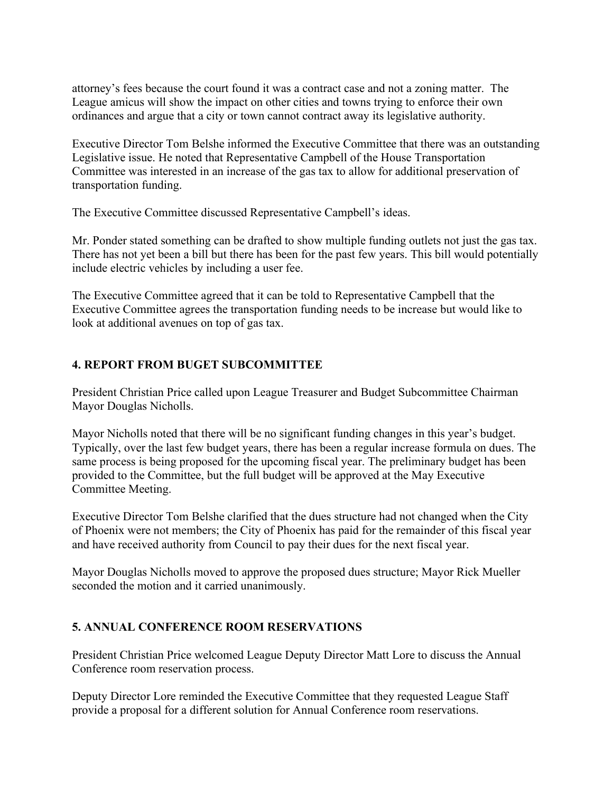attorney's fees because the court found it was a contract case and not a zoning matter. The League amicus will show the impact on other cities and towns trying to enforce their own ordinances and argue that a city or town cannot contract away its legislative authority.

Executive Director Tom Belshe informed the Executive Committee that there was an outstanding Legislative issue. He noted that Representative Campbell of the House Transportation Committee was interested in an increase of the gas tax to allow for additional preservation of transportation funding.

The Executive Committee discussed Representative Campbell's ideas.

Mr. Ponder stated something can be drafted to show multiple funding outlets not just the gas tax. There has not yet been a bill but there has been for the past few years. This bill would potentially include electric vehicles by including a user fee.

The Executive Committee agreed that it can be told to Representative Campbell that the Executive Committee agrees the transportation funding needs to be increase but would like to look at additional avenues on top of gas tax.

# **4. REPORT FROM BUGET SUBCOMMITTEE**

President Christian Price called upon League Treasurer and Budget Subcommittee Chairman Mayor Douglas Nicholls.

Mayor Nicholls noted that there will be no significant funding changes in this year's budget. Typically, over the last few budget years, there has been a regular increase formula on dues. The same process is being proposed for the upcoming fiscal year. The preliminary budget has been provided to the Committee, but the full budget will be approved at the May Executive Committee Meeting.

Executive Director Tom Belshe clarified that the dues structure had not changed when the City of Phoenix were not members; the City of Phoenix has paid for the remainder of this fiscal year and have received authority from Council to pay their dues for the next fiscal year.

Mayor Douglas Nicholls moved to approve the proposed dues structure; Mayor Rick Mueller seconded the motion and it carried unanimously.

## **5. ANNUAL CONFERENCE ROOM RESERVATIONS**

President Christian Price welcomed League Deputy Director Matt Lore to discuss the Annual Conference room reservation process.

Deputy Director Lore reminded the Executive Committee that they requested League Staff provide a proposal for a different solution for Annual Conference room reservations.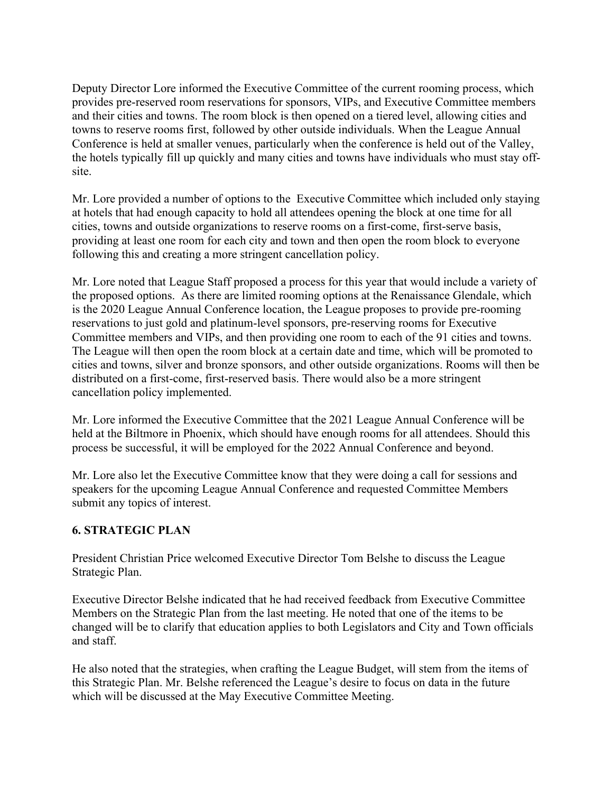Deputy Director Lore informed the Executive Committee of the current rooming process, which provides pre-reserved room reservations for sponsors, VIPs, and Executive Committee members and their cities and towns. The room block is then opened on a tiered level, allowing cities and towns to reserve rooms first, followed by other outside individuals. When the League Annual Conference is held at smaller venues, particularly when the conference is held out of the Valley, the hotels typically fill up quickly and many cities and towns have individuals who must stay offsite.

Mr. Lore provided a number of options to the Executive Committee which included only staying at hotels that had enough capacity to hold all attendees opening the block at one time for all cities, towns and outside organizations to reserve rooms on a first-come, first-serve basis, providing at least one room for each city and town and then open the room block to everyone following this and creating a more stringent cancellation policy.

Mr. Lore noted that League Staff proposed a process for this year that would include a variety of the proposed options. As there are limited rooming options at the Renaissance Glendale, which is the 2020 League Annual Conference location, the League proposes to provide pre-rooming reservations to just gold and platinum-level sponsors, pre-reserving rooms for Executive Committee members and VIPs, and then providing one room to each of the 91 cities and towns. The League will then open the room block at a certain date and time, which will be promoted to cities and towns, silver and bronze sponsors, and other outside organizations. Rooms will then be distributed on a first-come, first-reserved basis. There would also be a more stringent cancellation policy implemented.

Mr. Lore informed the Executive Committee that the 2021 League Annual Conference will be held at the Biltmore in Phoenix, which should have enough rooms for all attendees. Should this process be successful, it will be employed for the 2022 Annual Conference and beyond.

Mr. Lore also let the Executive Committee know that they were doing a call for sessions and speakers for the upcoming League Annual Conference and requested Committee Members submit any topics of interest.

## **6. STRATEGIC PLAN**

President Christian Price welcomed Executive Director Tom Belshe to discuss the League Strategic Plan.

Executive Director Belshe indicated that he had received feedback from Executive Committee Members on the Strategic Plan from the last meeting. He noted that one of the items to be changed will be to clarify that education applies to both Legislators and City and Town officials and staff.

He also noted that the strategies, when crafting the League Budget, will stem from the items of this Strategic Plan. Mr. Belshe referenced the League's desire to focus on data in the future which will be discussed at the May Executive Committee Meeting.